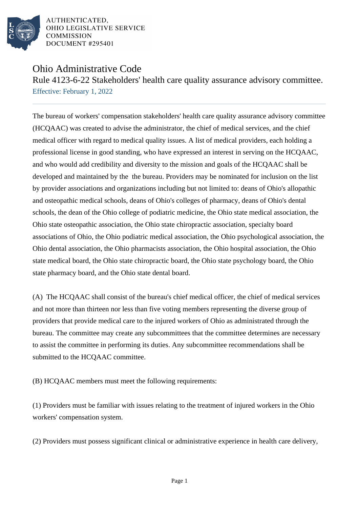

AUTHENTICATED. OHIO LEGISLATIVE SERVICE COMMISSION **DOCUMENT #295401** 

## Ohio Administrative Code

Rule 4123-6-22 Stakeholders' health care quality assurance advisory committee. Effective: February 1, 2022

The bureau of workers' compensation stakeholders' health care quality assurance advisory committee (HCQAAC) was created to advise the administrator, the chief of medical services, and the chief medical officer with regard to medical quality issues. A list of medical providers, each holding a professional license in good standing, who have expressed an interest in serving on the HCQAAC, and who would add credibility and diversity to the mission and goals of the HCQAAC shall be developed and maintained by the the bureau. Providers may be nominated for inclusion on the list by provider associations and organizations including but not limited to: deans of Ohio's allopathic and osteopathic medical schools, deans of Ohio's colleges of pharmacy, deans of Ohio's dental schools, the dean of the Ohio college of podiatric medicine, the Ohio state medical association, the Ohio state osteopathic association, the Ohio state chiropractic association, specialty board associations of Ohio, the Ohio podiatric medical association, the Ohio psychological association, the Ohio dental association, the Ohio pharmacists association, the Ohio hospital association, the Ohio state medical board, the Ohio state chiropractic board, the Ohio state psychology board, the Ohio state pharmacy board, and the Ohio state dental board.

(A) The HCQAAC shall consist of the bureau's chief medical officer, the chief of medical services and not more than thirteen nor less than five voting members representing the diverse group of providers that provide medical care to the injured workers of Ohio as administrated through the bureau. The committee may create any subcommittees that the committee determines are necessary to assist the committee in performing its duties. Any subcommittee recommendations shall be submitted to the HCQAAC committee.

(B) HCQAAC members must meet the following requirements:

(1) Providers must be familiar with issues relating to the treatment of injured workers in the Ohio workers' compensation system.

(2) Providers must possess significant clinical or administrative experience in health care delivery,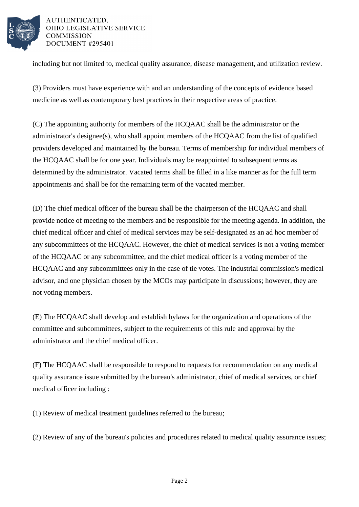

AUTHENTICATED. OHIO LEGISLATIVE SERVICE **COMMISSION DOCUMENT #295401** 

including but not limited to, medical quality assurance, disease management, and utilization review.

(3) Providers must have experience with and an understanding of the concepts of evidence based medicine as well as contemporary best practices in their respective areas of practice.

(C) The appointing authority for members of the HCQAAC shall be the administrator or the administrator's designee(s), who shall appoint members of the HCQAAC from the list of qualified providers developed and maintained by the bureau. Terms of membership for individual members of the HCQAAC shall be for one year. Individuals may be reappointed to subsequent terms as determined by the administrator. Vacated terms shall be filled in a like manner as for the full term appointments and shall be for the remaining term of the vacated member.

(D) The chief medical officer of the bureau shall be the chairperson of the HCQAAC and shall provide notice of meeting to the members and be responsible for the meeting agenda. In addition, the chief medical officer and chief of medical services may be self-designated as an ad hoc member of any subcommittees of the HCQAAC. However, the chief of medical services is not a voting member of the HCQAAC or any subcommittee, and the chief medical officer is a voting member of the HCQAAC and any subcommittees only in the case of tie votes. The industrial commission's medical advisor, and one physician chosen by the MCOs may participate in discussions; however, they are not voting members.

(E) The HCQAAC shall develop and establish bylaws for the organization and operations of the committee and subcommittees, subject to the requirements of this rule and approval by the administrator and the chief medical officer.

(F) The HCQAAC shall be responsible to respond to requests for recommendation on any medical quality assurance issue submitted by the bureau's administrator, chief of medical services, or chief medical officer including :

(1) Review of medical treatment guidelines referred to the bureau;

(2) Review of any of the bureau's policies and procedures related to medical quality assurance issues;